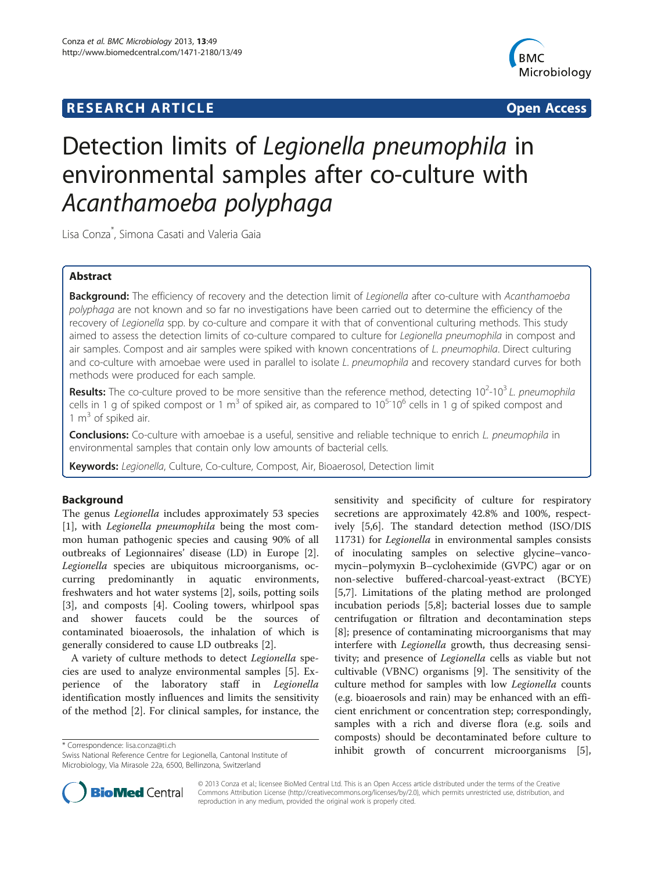## **RESEARCH ARTICLE Example 2014 CONSIDERING A RESEARCH ARTICLE**



# Detection limits of Legionella pneumophila in environmental samples after co-culture with Acanthamoeba polyphaga

Lisa Conza\* , Simona Casati and Valeria Gaia

## Abstract

Background: The efficiency of recovery and the detection limit of Legionella after co-culture with Acanthamoeba polyphaga are not known and so far no investigations have been carried out to determine the efficiency of the recovery of Legionella spp. by co-culture and compare it with that of conventional culturing methods. This study aimed to assess the detection limits of co-culture compared to culture for Legionella pneumophila in compost and air samples. Compost and air samples were spiked with known concentrations of L. pneumophila. Direct culturing and co-culture with amoebae were used in parallel to isolate L. pneumophila and recovery standard curves for both methods were produced for each sample.

Results: The co-culture proved to be more sensitive than the reference method, detecting 10<sup>2</sup>-10<sup>3</sup> L. pneumophila cells in 1 g of spiked compost or 1 m<sup>3</sup> of spiked air, as compared to  $10^{5} \text{·}10^{6}$  cells in 1 g of spiked compost and 1  $m<sup>3</sup>$  of spiked air.

Conclusions: Co-culture with amoebae is a useful, sensitive and reliable technique to enrich L. pneumophila in environmental samples that contain only low amounts of bacterial cells.

Keywords: Legionella, Culture, Co-culture, Compost, Air, Bioaerosol, Detection limit

## Background

The genus Legionella includes approximately 53 species [[1\]](#page-5-0), with Legionella pneumophila being the most common human pathogenic species and causing 90% of all outbreaks of Legionnaires' disease (LD) in Europe [\[2](#page-5-0)]. Legionella species are ubiquitous microorganisms, occurring predominantly in aquatic environments, freshwaters and hot water systems [[2\]](#page-5-0), soils, potting soils [[3\]](#page-5-0), and composts [\[4](#page-5-0)]. Cooling towers, whirlpool spas and shower faucets could be the sources of contaminated bioaerosols, the inhalation of which is generally considered to cause LD outbreaks [\[2](#page-5-0)].

A variety of culture methods to detect Legionella species are used to analyze environmental samples [[5](#page-5-0)]. Experience of the laboratory staff in Legionella identification mostly influences and limits the sensitivity of the method [\[2](#page-5-0)]. For clinical samples, for instance, the

sensitivity and specificity of culture for respiratory secretions are approximately 42.8% and 100%, respectively [\[5,6](#page-5-0)]. The standard detection method (ISO/DIS 11731) for Legionella in environmental samples consists of inoculating samples on selective glycine–vancomycin–polymyxin B–cycloheximide (GVPC) agar or on non-selective buffered-charcoal-yeast-extract (BCYE) [[5,7\]](#page-5-0). Limitations of the plating method are prolonged incubation periods [[5,8\]](#page-5-0); bacterial losses due to sample centrifugation or filtration and decontamination steps [[8\]](#page-5-0); presence of contaminating microorganisms that may interfere with *Legionella* growth, thus decreasing sensitivity; and presence of Legionella cells as viable but not cultivable (VBNC) organisms [\[9](#page-5-0)]. The sensitivity of the culture method for samples with low Legionella counts (e.g. bioaerosols and rain) may be enhanced with an efficient enrichment or concentration step; correspondingly, samples with a rich and diverse flora (e.g. soils and composts) should be decontaminated before culture to inhibit growth of concurrent microorganisms [\[5](#page-5-0)], \* Correspondence: [lisa.conza@ti.ch](mailto:lisa.conza@ti.ch)



© 2013 Conza et al.; licensee BioMed Central Ltd. This is an Open Access article distributed under the terms of the Creative Commons Attribution License [\(http://creativecommons.org/licenses/by/2.0\)](http://creativecommons.org/licenses/by/2.0), which permits unrestricted use, distribution, and reproduction in any medium, provided the original work is properly cited.

Swiss National Reference Centre for Legionella, Cantonal Institute of Microbiology, Via Mirasole 22a, 6500, Bellinzona, Switzerland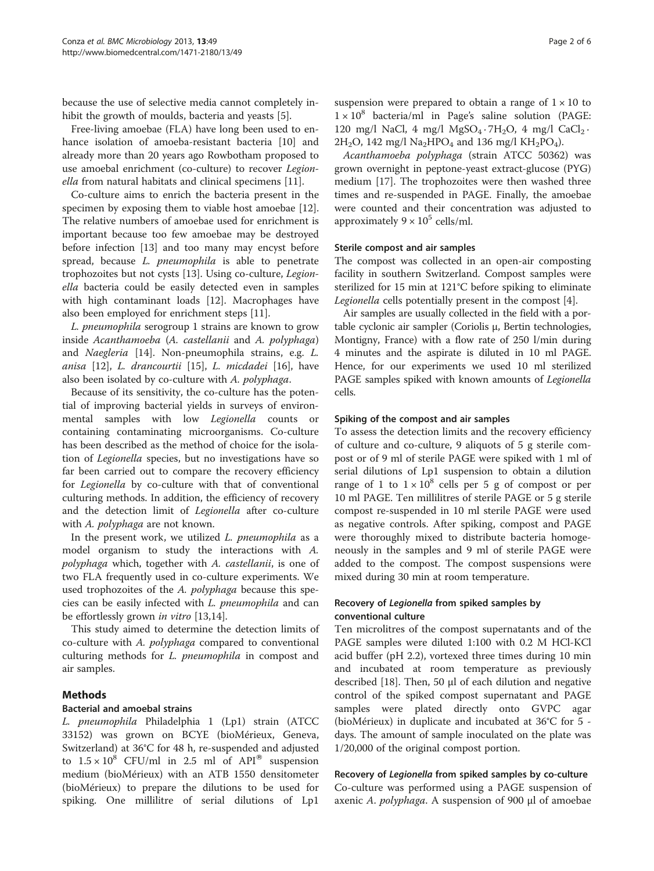because the use of selective media cannot completely inhibit the growth of moulds, bacteria and yeasts [[5\]](#page-5-0).

Free-living amoebae (FLA) have long been used to enhance isolation of amoeba-resistant bacteria [[10\]](#page-5-0) and already more than 20 years ago Rowbotham proposed to use amoebal enrichment (co-culture) to recover Legionella from natural habitats and clinical specimens [\[11\]](#page-5-0).

Co-culture aims to enrich the bacteria present in the specimen by exposing them to viable host amoebae [\[12](#page-5-0)]. The relative numbers of amoebae used for enrichment is important because too few amoebae may be destroyed before infection [[13\]](#page-5-0) and too many may encyst before spread, because *L. pneumophila* is able to penetrate trophozoites but not cysts [\[13](#page-5-0)]. Using co-culture, Legionella bacteria could be easily detected even in samples with high contaminant loads [\[12\]](#page-5-0). Macrophages have also been employed for enrichment steps [\[11](#page-5-0)].

L. pneumophila serogroup 1 strains are known to grow inside Acanthamoeba (A. castellanii and A. polyphaga) and Naegleria [\[14\]](#page-5-0). Non-pneumophila strains, e.g. L. anisa [[12\]](#page-5-0), L. drancourtii [[15](#page-5-0)], L. micdadei [[16\]](#page-5-0), have also been isolated by co-culture with A. polyphaga.

Because of its sensitivity, the co-culture has the potential of improving bacterial yields in surveys of environmental samples with low Legionella counts or containing contaminating microorganisms. Co-culture has been described as the method of choice for the isolation of Legionella species, but no investigations have so far been carried out to compare the recovery efficiency for Legionella by co-culture with that of conventional culturing methods. In addition, the efficiency of recovery and the detection limit of Legionella after co-culture with A. *polyphaga* are not known.

In the present work, we utilized  $L$ . pneumophila as a model organism to study the interactions with A. polyphaga which, together with A. castellanii, is one of two FLA frequently used in co-culture experiments. We used trophozoites of the A. polyphaga because this species can be easily infected with L. pneumophila and can be effortlessly grown *in vitro* [\[13,14](#page-5-0)].

This study aimed to determine the detection limits of co-culture with A. polyphaga compared to conventional culturing methods for L. pneumophila in compost and air samples.

## Methods

## Bacterial and amoebal strains

L. pneumophila Philadelphia 1 (Lp1) strain (ATCC 33152) was grown on BCYE (bioMérieux, Geneva, Switzerland) at 36°C for 48 h, re-suspended and adjusted to  $1.5 \times 10^8$  CFU/ml in 2.5 ml of API<sup>®</sup> suspension medium (bioMérieux) with an ATB 1550 densitometer (bioMérieux) to prepare the dilutions to be used for spiking. One millilitre of serial dilutions of Lp1

suspension were prepared to obtain a range of  $1 \times 10$  to  $1 \times 10^8$  bacteria/ml in Page's saline solution (PAGE: 120 mg/l NaCl, 4 mg/l  $MgSO_4 \cdot 7H_2O$ , 4 mg/l  $CaCl_2 \cdot$  $2H_2O$ , 142 mg/l Na<sub>2</sub>HPO<sub>4</sub> and 136 mg/l KH<sub>2</sub>PO<sub>4</sub>).

Acanthamoeba polyphaga (strain ATCC 50362) was grown overnight in peptone-yeast extract-glucose (PYG) medium [\[17](#page-5-0)]. The trophozoites were then washed three times and re-suspended in PAGE. Finally, the amoebae were counted and their concentration was adjusted to approximately  $9 \times 10^5$  cells/ml.

#### Sterile compost and air samples

The compost was collected in an open-air composting facility in southern Switzerland. Compost samples were sterilized for 15 min at 121°C before spiking to eliminate Legionella cells potentially present in the compost [\[4](#page-5-0)].

Air samples are usually collected in the field with a portable cyclonic air sampler (Coriolis μ, Bertin technologies, Montigny, France) with a flow rate of 250 l/min during 4 minutes and the aspirate is diluted in 10 ml PAGE. Hence, for our experiments we used 10 ml sterilized PAGE samples spiked with known amounts of *Legionella* cells.

## Spiking of the compost and air samples

To assess the detection limits and the recovery efficiency of culture and co-culture, 9 aliquots of 5 g sterile compost or of 9 ml of sterile PAGE were spiked with 1 ml of serial dilutions of Lp1 suspension to obtain a dilution range of 1 to  $1 \times 10^8$  cells per 5 g of compost or per 10 ml PAGE. Ten millilitres of sterile PAGE or 5 g sterile compost re-suspended in 10 ml sterile PAGE were used as negative controls. After spiking, compost and PAGE were thoroughly mixed to distribute bacteria homogeneously in the samples and 9 ml of sterile PAGE were added to the compost. The compost suspensions were mixed during 30 min at room temperature.

## Recovery of Legionella from spiked samples by conventional culture

Ten microlitres of the compost supernatants and of the PAGE samples were diluted 1:100 with 0.2 M HCl-KCl acid buffer (pH 2.2), vortexed three times during 10 min and incubated at room temperature as previously described [[18\]](#page-5-0). Then, 50 μl of each dilution and negative control of the spiked compost supernatant and PAGE samples were plated directly onto GVPC agar (bioMérieux) in duplicate and incubated at 36°C for 5 days. The amount of sample inoculated on the plate was 1/20,000 of the original compost portion.

## Recovery of Legionella from spiked samples by co-culture

Co-culture was performed using a PAGE suspension of axenic A. polyphaga. A suspension of 900 μl of amoebae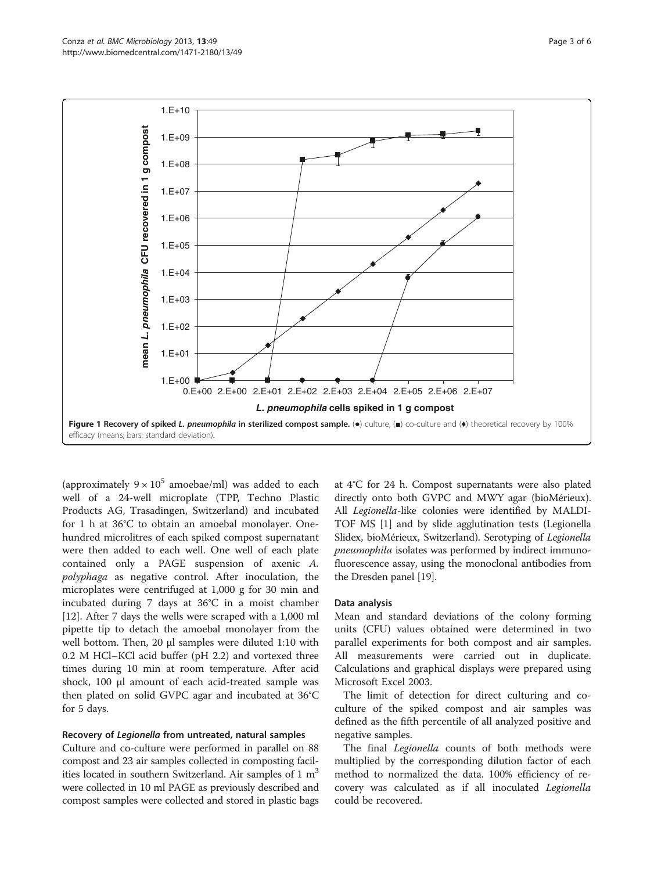<span id="page-2-0"></span>

(approximately  $9 \times 10^5$  amoebae/ml) was added to each well of a 24-well microplate (TPP, Techno Plastic Products AG, Trasadingen, Switzerland) and incubated for 1 h at 36°C to obtain an amoebal monolayer. Onehundred microlitres of each spiked compost supernatant were then added to each well. One well of each plate contained only a PAGE suspension of axenic A. polyphaga as negative control. After inoculation, the microplates were centrifuged at 1,000 g for 30 min and incubated during 7 days at 36°C in a moist chamber [[12\]](#page-5-0). After 7 days the wells were scraped with a 1,000 ml pipette tip to detach the amoebal monolayer from the well bottom. Then, 20 μl samples were diluted 1:10 with 0.2 M HCl–KCl acid buffer (pH 2.2) and vortexed three times during 10 min at room temperature. After acid shock, 100 μl amount of each acid-treated sample was then plated on solid GVPC agar and incubated at 36°C for 5 days.

#### Recovery of Legionella from untreated, natural samples

Culture and co-culture were performed in parallel on 88 compost and 23 air samples collected in composting facilities located in southern Switzerland. Air samples of  $1 \text{ m}^3$ were collected in 10 ml PAGE as previously described and compost samples were collected and stored in plastic bags

at 4°C for 24 h. Compost supernatants were also plated directly onto both GVPC and MWY agar (bioMérieux). All Legionella-like colonies were identified by MALDI-TOF MS [\[1](#page-5-0)] and by slide agglutination tests (Legionella Slidex, bioMérieux, Switzerland). Serotyping of Legionella pneumophila isolates was performed by indirect immunofluorescence assay, using the monoclonal antibodies from the Dresden panel [\[19\]](#page-5-0).

#### Data analysis

Mean and standard deviations of the colony forming units (CFU) values obtained were determined in two parallel experiments for both compost and air samples. All measurements were carried out in duplicate. Calculations and graphical displays were prepared using Microsoft Excel 2003.

The limit of detection for direct culturing and coculture of the spiked compost and air samples was defined as the fifth percentile of all analyzed positive and negative samples.

The final *Legionella* counts of both methods were multiplied by the corresponding dilution factor of each method to normalized the data. 100% efficiency of recovery was calculated as if all inoculated Legionella could be recovered.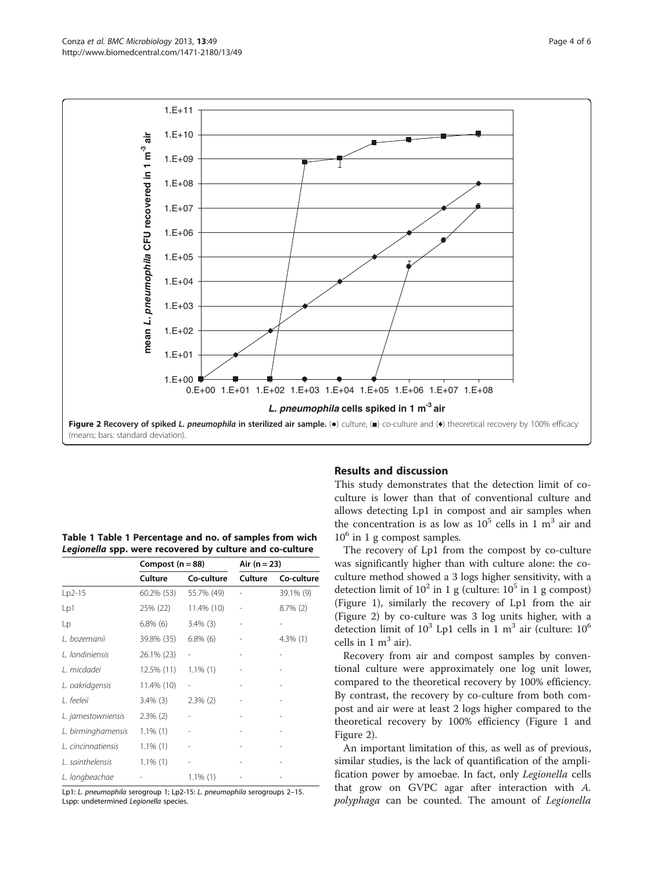<span id="page-3-0"></span>

| Table 1 Table 1 Percentage and no. of samples from wich  |                                           |          |  |
|----------------------------------------------------------|-------------------------------------------|----------|--|
| Legionella spp. were recovered by culture and co-culture |                                           |          |  |
|                                                          | $\sim$ $\sim$ $\sim$ $\sim$ $\sim$ $\sim$ | $\cdots$ |  |

|                    | Compost $(n = 88)$ |             | Air $(n = 23)$ |             |
|--------------------|--------------------|-------------|----------------|-------------|
|                    | Culture            | Co-culture  | Culture        | Co-culture  |
| Lp2-15             | 60.2% (53)         | 55.7% (49)  |                | 39.1% (9)   |
| Lp1                | 25% (22)           | 11.4% (10)  |                | $8.7\%$ (2) |
| Lp                 | $6.8\%$ (6)        | $3.4\%$ (3) |                |             |
| L. bozemanii       | 39.8% (35)         | $6.8\%$ (6) |                | $4.3\%$ (1) |
| L. londiniensis    | 26.1% (23)         |             |                |             |
| L. micdadei        | 12.5% (11)         | $1.1\%$ (1) |                |             |
| L. oakridgensis    | 11.4% (10)         | -           |                |             |
| L. feeleii         | $3.4\%$ (3)        | $2.3\%$ (2) |                |             |
| L. jamestowniensis | $2.3\%$ (2)        |             |                |             |
| L. birminghamensis | $1.1\%$ (1)        | -           |                |             |
| L. cincinnatiensis | $1.1\%$ (1)        |             |                |             |
| L. sainthelensis   | $1.1\%$ (1)        | ٠           |                |             |
| L. longbeachae     |                    | $1.1\%$ (1) |                |             |

Lp1: L. pneumophila serogroup 1; Lp2-15: L. pneumophila serogroups 2–15. Lspp: undetermined Legionella species.

## Results and discussion

This study demonstrates that the detection limit of coculture is lower than that of conventional culture and allows detecting Lp1 in compost and air samples when the concentration is as low as  $10^5$  cells in 1 m<sup>3</sup> air and  $10^6$  in 1 g compost samples.

The recovery of Lp1 from the compost by co-culture was significantly higher than with culture alone: the coculture method showed a 3 logs higher sensitivity, with a detection limit of  $10^2$  in 1 g (culture:  $10^5$  in 1 g compost) (Figure [1\)](#page-2-0), similarly the recovery of Lp1 from the air (Figure 2) by co-culture was 3 log units higher, with a detection limit of  $10^3$  Lp1 cells in 1 m<sup>3</sup> air (culture:  $10^6$ cells in  $1 \text{ m}^3$  air).

Recovery from air and compost samples by conventional culture were approximately one log unit lower, compared to the theoretical recovery by 100% efficiency. By contrast, the recovery by co-culture from both compost and air were at least 2 logs higher compared to the theoretical recovery by 100% efficiency (Figure [1](#page-2-0) and Figure 2).

An important limitation of this, as well as of previous, similar studies, is the lack of quantification of the amplification power by amoebae. In fact, only Legionella cells that grow on GVPC agar after interaction with A. polyphaga can be counted. The amount of Legionella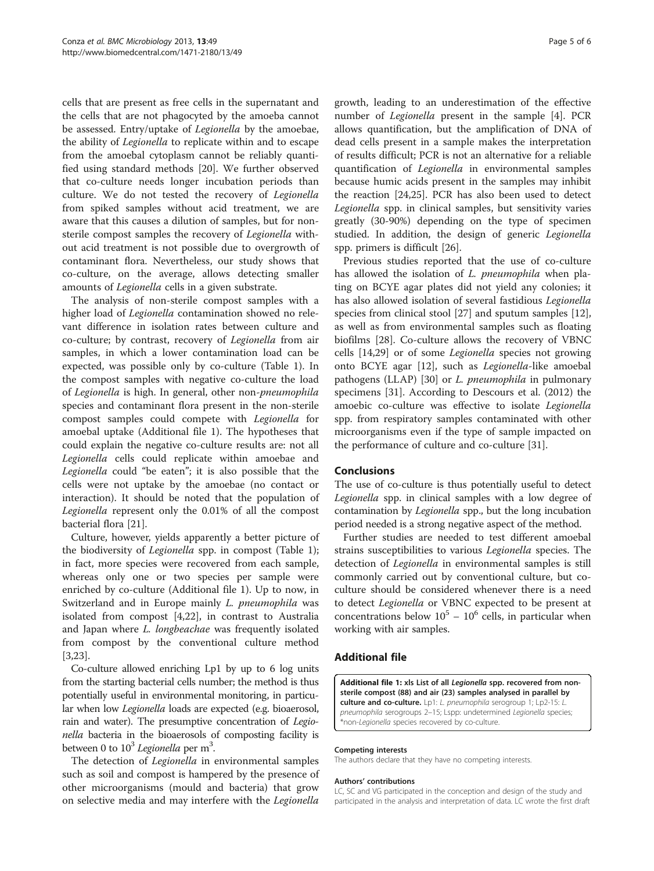cells that are present as free cells in the supernatant and the cells that are not phagocyted by the amoeba cannot be assessed. Entry/uptake of Legionella by the amoebae, the ability of Legionella to replicate within and to escape from the amoebal cytoplasm cannot be reliably quantified using standard methods [[20\]](#page-5-0). We further observed that co-culture needs longer incubation periods than culture. We do not tested the recovery of Legionella from spiked samples without acid treatment, we are aware that this causes a dilution of samples, but for nonsterile compost samples the recovery of Legionella without acid treatment is not possible due to overgrowth of contaminant flora. Nevertheless, our study shows that co-culture, on the average, allows detecting smaller amounts of Legionella cells in a given substrate.

The analysis of non-sterile compost samples with a higher load of Legionella contamination showed no relevant difference in isolation rates between culture and co-culture; by contrast, recovery of Legionella from air samples, in which a lower contamination load can be expected, was possible only by co-culture (Table [1](#page-3-0)). In the compost samples with negative co-culture the load of Legionella is high. In general, other non-pneumophila species and contaminant flora present in the non-sterile compost samples could compete with Legionella for amoebal uptake (Additional file 1). The hypotheses that could explain the negative co-culture results are: not all Legionella cells could replicate within amoebae and Legionella could "be eaten"; it is also possible that the cells were not uptake by the amoebae (no contact or interaction). It should be noted that the population of Legionella represent only the 0.01% of all the compost bacterial flora [[21\]](#page-5-0).

Culture, however, yields apparently a better picture of the biodiversity of Legionella spp. in compost (Table [1](#page-3-0)); in fact, more species were recovered from each sample, whereas only one or two species per sample were enriched by co-culture (Additional file 1). Up to now, in Switzerland and in Europe mainly L. pneumophila was isolated from compost [\[4,22](#page-5-0)], in contrast to Australia and Japan where L. longbeachae was frequently isolated from compost by the conventional culture method [[3,23\]](#page-5-0).

Co-culture allowed enriching Lp1 by up to 6 log units from the starting bacterial cells number; the method is thus potentially useful in environmental monitoring, in particular when low Legionella loads are expected (e.g. bioaerosol, rain and water). The presumptive concentration of Legionella bacteria in the bioaerosols of composting facility is between 0 to  $10^3$  *Legionella* per m<sup>3</sup>.

The detection of *Legionella* in environmental samples such as soil and compost is hampered by the presence of other microorganisms (mould and bacteria) that grow on selective media and may interfere with the Legionella

growth, leading to an underestimation of the effective number of Legionella present in the sample [[4\]](#page-5-0). PCR allows quantification, but the amplification of DNA of dead cells present in a sample makes the interpretation of results difficult; PCR is not an alternative for a reliable quantification of Legionella in environmental samples because humic acids present in the samples may inhibit the reaction [\[24,25](#page-5-0)]. PCR has also been used to detect Legionella spp. in clinical samples, but sensitivity varies greatly (30-90%) depending on the type of specimen studied. In addition, the design of generic Legionella spp. primers is difficult [\[26](#page-5-0)].

Previous studies reported that the use of co-culture has allowed the isolation of *L. pneumophila* when plating on BCYE agar plates did not yield any colonies; it has also allowed isolation of several fastidious Legionella species from clinical stool [[27\]](#page-5-0) and sputum samples [\[12](#page-5-0)], as well as from environmental samples such as floating biofilms [\[28\]](#page-5-0). Co-culture allows the recovery of VBNC cells [[14,29](#page-5-0)] or of some Legionella species not growing onto BCYE agar [\[12](#page-5-0)], such as Legionella-like amoebal pathogens (LLAP) [\[30](#page-5-0)] or *L. pneumophila* in pulmonary specimens [[31\]](#page-5-0). According to Descours et al. (2012) the amoebic co-culture was effective to isolate Legionella spp. from respiratory samples contaminated with other microorganisms even if the type of sample impacted on the performance of culture and co-culture [[31\]](#page-5-0).

## Conclusions

The use of co-culture is thus potentially useful to detect Legionella spp. in clinical samples with a low degree of contamination by Legionella spp., but the long incubation period needed is a strong negative aspect of the method.

Further studies are needed to test different amoebal strains susceptibilities to various Legionella species. The detection of *Legionella* in environmental samples is still commonly carried out by conventional culture, but coculture should be considered whenever there is a need to detect Legionella or VBNC expected to be present at concentrations below  $10^5 - 10^6$  cells, in particular when working with air samples.

#### Additional file

[Additional file 1:](http://www.biomedcentral.com/content/supplementary/1471-2180-13-49-S1.xls) xls List of all Legionella spp. recovered from nonsterile compost (88) and air (23) samples analysed in parallel by culture and co-culture. Lp1: L. pneumophila serogroup 1: Lp2-15: L. pneumophila serogroups 2–15; Lspp: undetermined Legionella species; \*non-Legionella species recovered by co-culture.

#### Competing interests

The authors declare that they have no competing interests.

#### Authors' contributions

LC, SC and VG participated in the conception and design of the study and participated in the analysis and interpretation of data. LC wrote the first draft